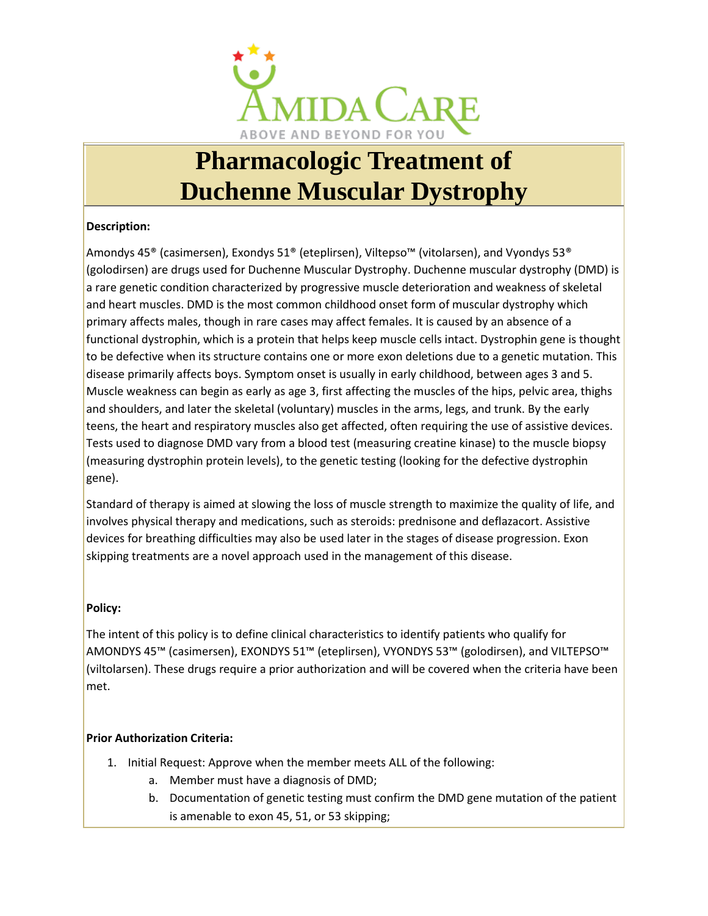

# **Pharmacologic Treatment of Duchenne Muscular Dystrophy**

## **Description:**

Amondys 45® (casimersen), Exondys 51® (eteplirsen), Viltepso™ (vitolarsen), and Vyondys 53® (golodirsen) are drugs used for Duchenne Muscular Dystrophy. Duchenne muscular dystrophy (DMD) is a rare genetic condition characterized by progressive muscle deterioration and weakness of skeletal and heart muscles. DMD is the most common childhood onset form of muscular dystrophy which primary affects males, though in rare cases may affect females. It is caused by an absence of a functional dystrophin, which is a protein that helps keep muscle cells intact. Dystrophin gene is thought to be defective when its structure contains one or more exon deletions due to a genetic mutation. This disease primarily affects boys. Symptom onset is usually in early childhood, between ages 3 and 5. Muscle weakness can begin as early as age 3, first affecting the muscles of the hips, pelvic area, thighs and shoulders, and later the skeletal (voluntary) muscles in the arms, legs, and trunk. By the early teens, the heart and respiratory muscles also get affected, often requiring the use of assistive devices. Tests used to diagnose DMD vary from a blood test (measuring creatine kinase) to the muscle biopsy (measuring dystrophin protein levels), to the genetic testing (looking for the defective dystrophin gene).

Standard of therapy is aimed at slowing the loss of muscle strength to maximize the quality of life, and involves physical therapy and medications, such as steroids: prednisone and deflazacort. Assistive devices for breathing difficulties may also be used later in the stages of disease progression. Exon skipping treatments are a novel approach used in the management of this disease.

### **Policy:**

The intent of this policy is to define clinical characteristics to identify patients who qualify for AMONDYS 45™ (casimersen), EXONDYS 51™ (eteplirsen), VYONDYS 53™ (golodirsen), and VILTEPSO™ (viltolarsen). These drugs require a prior authorization and will be covered when the criteria have been met.

### **Prior Authorization Criteria:**

- 1. Initial Request: Approve when the member meets ALL of the following:
	- a. Member must have a diagnosis of DMD;
	- b. Documentation of genetic testing must confirm the DMD gene mutation of the patient is amenable to exon 45, 51, or 53 skipping;